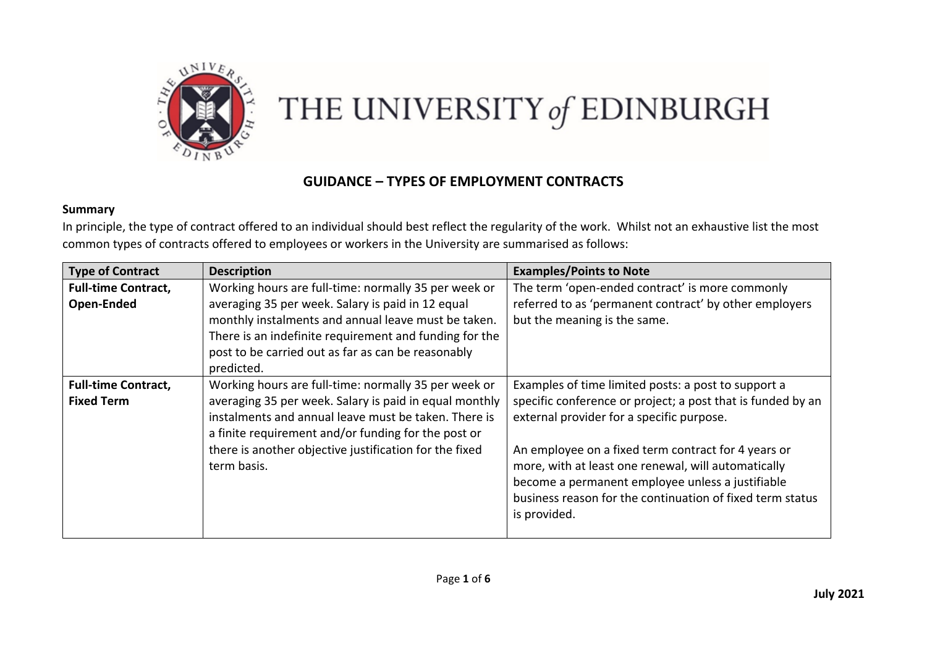

## THE UNIVERSITY of EDINBURGH

## **GUIDANCE – TYPES OF EMPLOYMENT CONTRACTS**

## **Summary**

In principle, the type of contract offered to an individual should best reflect the regularity of the work. Whilst not an exhaustive list the most common types of contracts offered to employees or workers in the University are summarised as follows:

| <b>Type of Contract</b>                         | <b>Description</b>                                                                                                                                                                                                                     | <b>Examples/Points to Note</b>                                                                                                                                                                                                              |
|-------------------------------------------------|----------------------------------------------------------------------------------------------------------------------------------------------------------------------------------------------------------------------------------------|---------------------------------------------------------------------------------------------------------------------------------------------------------------------------------------------------------------------------------------------|
| <b>Full-time Contract,</b>                      | Working hours are full-time: normally 35 per week or                                                                                                                                                                                   | The term 'open-ended contract' is more commonly                                                                                                                                                                                             |
| <b>Open-Ended</b>                               | averaging 35 per week. Salary is paid in 12 equal<br>monthly instalments and annual leave must be taken.<br>There is an indefinite requirement and funding for the<br>post to be carried out as far as can be reasonably<br>predicted. | referred to as 'permanent contract' by other employers<br>but the meaning is the same.                                                                                                                                                      |
| <b>Full-time Contract,</b><br><b>Fixed Term</b> | Working hours are full-time: normally 35 per week or<br>averaging 35 per week. Salary is paid in equal monthly<br>instalments and annual leave must be taken. There is<br>a finite requirement and/or funding for the post or          | Examples of time limited posts: a post to support a<br>specific conference or project; a post that is funded by an<br>external provider for a specific purpose.                                                                             |
|                                                 | there is another objective justification for the fixed<br>term basis.                                                                                                                                                                  | An employee on a fixed term contract for 4 years or<br>more, with at least one renewal, will automatically<br>become a permanent employee unless a justifiable<br>business reason for the continuation of fixed term status<br>is provided. |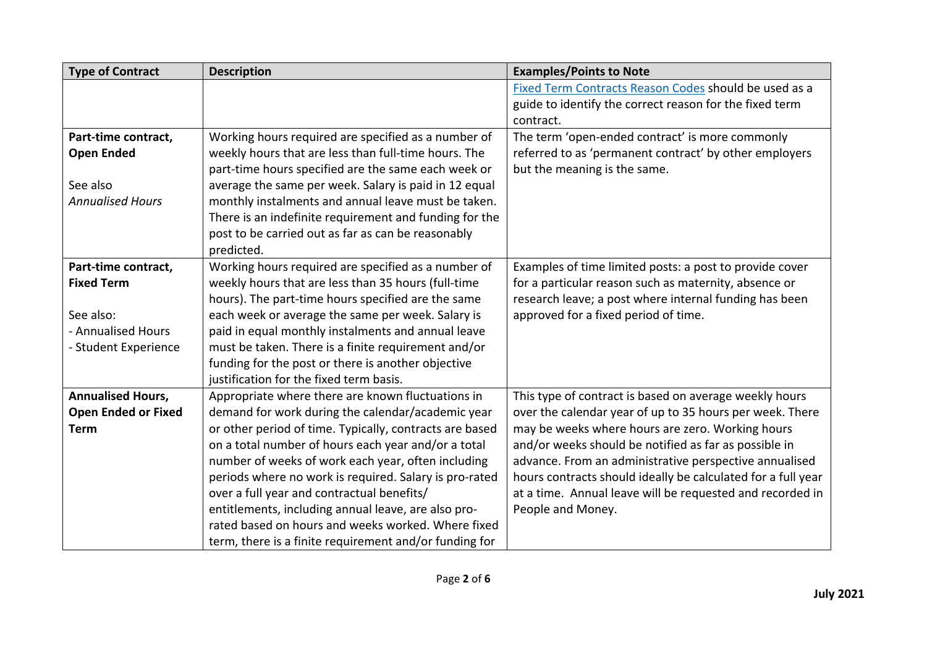| <b>Type of Contract</b>    | <b>Description</b>                                      | <b>Examples/Points to Note</b>                               |  |
|----------------------------|---------------------------------------------------------|--------------------------------------------------------------|--|
|                            |                                                         | Fixed Term Contracts Reason Codes should be used as a        |  |
|                            |                                                         | guide to identify the correct reason for the fixed term      |  |
|                            |                                                         | contract.                                                    |  |
| Part-time contract,        | Working hours required are specified as a number of     | The term 'open-ended contract' is more commonly              |  |
| <b>Open Ended</b>          | weekly hours that are less than full-time hours. The    | referred to as 'permanent contract' by other employers       |  |
|                            | part-time hours specified are the same each week or     | but the meaning is the same.                                 |  |
| See also                   | average the same per week. Salary is paid in 12 equal   |                                                              |  |
| <b>Annualised Hours</b>    | monthly instalments and annual leave must be taken.     |                                                              |  |
|                            | There is an indefinite requirement and funding for the  |                                                              |  |
|                            | post to be carried out as far as can be reasonably      |                                                              |  |
|                            | predicted.                                              |                                                              |  |
| Part-time contract,        | Working hours required are specified as a number of     | Examples of time limited posts: a post to provide cover      |  |
| <b>Fixed Term</b>          | weekly hours that are less than 35 hours (full-time     | for a particular reason such as maternity, absence or        |  |
|                            | hours). The part-time hours specified are the same      | research leave; a post where internal funding has been       |  |
| See also:                  | each week or average the same per week. Salary is       | approved for a fixed period of time.                         |  |
| - Annualised Hours         | paid in equal monthly instalments and annual leave      |                                                              |  |
| - Student Experience       | must be taken. There is a finite requirement and/or     |                                                              |  |
|                            | funding for the post or there is another objective      |                                                              |  |
|                            | justification for the fixed term basis.                 |                                                              |  |
| <b>Annualised Hours,</b>   | Appropriate where there are known fluctuations in       | This type of contract is based on average weekly hours       |  |
| <b>Open Ended or Fixed</b> | demand for work during the calendar/academic year       | over the calendar year of up to 35 hours per week. There     |  |
| <b>Term</b>                | or other period of time. Typically, contracts are based | may be weeks where hours are zero. Working hours             |  |
|                            | on a total number of hours each year and/or a total     | and/or weeks should be notified as far as possible in        |  |
|                            | number of weeks of work each year, often including      | advance. From an administrative perspective annualised       |  |
|                            | periods where no work is required. Salary is pro-rated  | hours contracts should ideally be calculated for a full year |  |
|                            | over a full year and contractual benefits/              | at a time. Annual leave will be requested and recorded in    |  |
|                            | entitlements, including annual leave, are also pro-     | People and Money.                                            |  |
|                            | rated based on hours and weeks worked. Where fixed      |                                                              |  |
|                            | term, there is a finite requirement and/or funding for  |                                                              |  |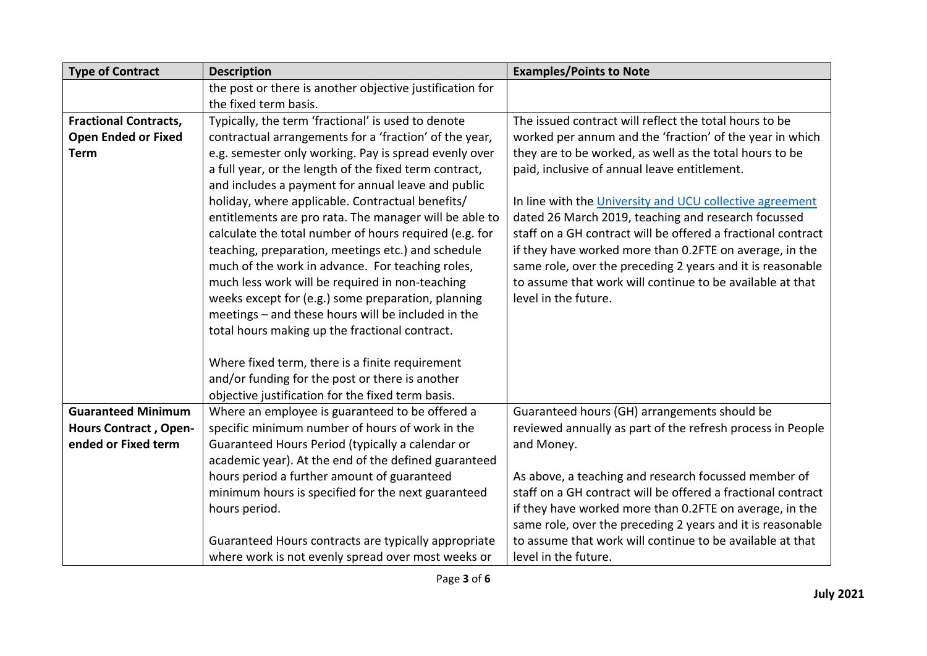| <b>Type of Contract</b>      | <b>Description</b>                                       | <b>Examples/Points to Note</b>                                                                                          |  |
|------------------------------|----------------------------------------------------------|-------------------------------------------------------------------------------------------------------------------------|--|
|                              | the post or there is another objective justification for |                                                                                                                         |  |
|                              | the fixed term basis.                                    |                                                                                                                         |  |
| <b>Fractional Contracts,</b> | Typically, the term 'fractional' is used to denote       | The issued contract will reflect the total hours to be                                                                  |  |
| <b>Open Ended or Fixed</b>   | contractual arrangements for a 'fraction' of the year,   | worked per annum and the 'fraction' of the year in which<br>they are to be worked, as well as the total hours to be     |  |
| <b>Term</b>                  | e.g. semester only working. Pay is spread evenly over    |                                                                                                                         |  |
|                              | a full year, or the length of the fixed term contract,   | paid, inclusive of annual leave entitlement.                                                                            |  |
|                              | and includes a payment for annual leave and public       |                                                                                                                         |  |
|                              | holiday, where applicable. Contractual benefits/         | In line with the University and UCU collective agreement                                                                |  |
|                              | entitlements are pro rata. The manager will be able to   | dated 26 March 2019, teaching and research focussed                                                                     |  |
|                              | calculate the total number of hours required (e.g. for   | staff on a GH contract will be offered a fractional contract                                                            |  |
|                              | teaching, preparation, meetings etc.) and schedule       | if they have worked more than 0.2FTE on average, in the                                                                 |  |
|                              | much of the work in advance. For teaching roles,         | same role, over the preceding 2 years and it is reasonable                                                              |  |
|                              | much less work will be required in non-teaching          | to assume that work will continue to be available at that                                                               |  |
|                              | weeks except for (e.g.) some preparation, planning       | level in the future.                                                                                                    |  |
|                              | meetings - and these hours will be included in the       |                                                                                                                         |  |
|                              | total hours making up the fractional contract.           |                                                                                                                         |  |
|                              |                                                          |                                                                                                                         |  |
|                              | Where fixed term, there is a finite requirement          |                                                                                                                         |  |
|                              | and/or funding for the post or there is another          |                                                                                                                         |  |
|                              | objective justification for the fixed term basis.        |                                                                                                                         |  |
| <b>Guaranteed Minimum</b>    | Where an employee is guaranteed to be offered a          | Guaranteed hours (GH) arrangements should be                                                                            |  |
| <b>Hours Contract, Open-</b> | specific minimum number of hours of work in the          | reviewed annually as part of the refresh process in People                                                              |  |
| ended or Fixed term          | Guaranteed Hours Period (typically a calendar or         | and Money.                                                                                                              |  |
|                              | academic year). At the end of the defined guaranteed     |                                                                                                                         |  |
|                              | hours period a further amount of guaranteed              | As above, a teaching and research focussed member of<br>staff on a GH contract will be offered a fractional contract    |  |
|                              | minimum hours is specified for the next guaranteed       |                                                                                                                         |  |
|                              | hours period.                                            | if they have worked more than 0.2FTE on average, in the                                                                 |  |
|                              |                                                          | same role, over the preceding 2 years and it is reasonable<br>to assume that work will continue to be available at that |  |
|                              | Guaranteed Hours contracts are typically appropriate     | level in the future.                                                                                                    |  |
|                              | where work is not evenly spread over most weeks or       |                                                                                                                         |  |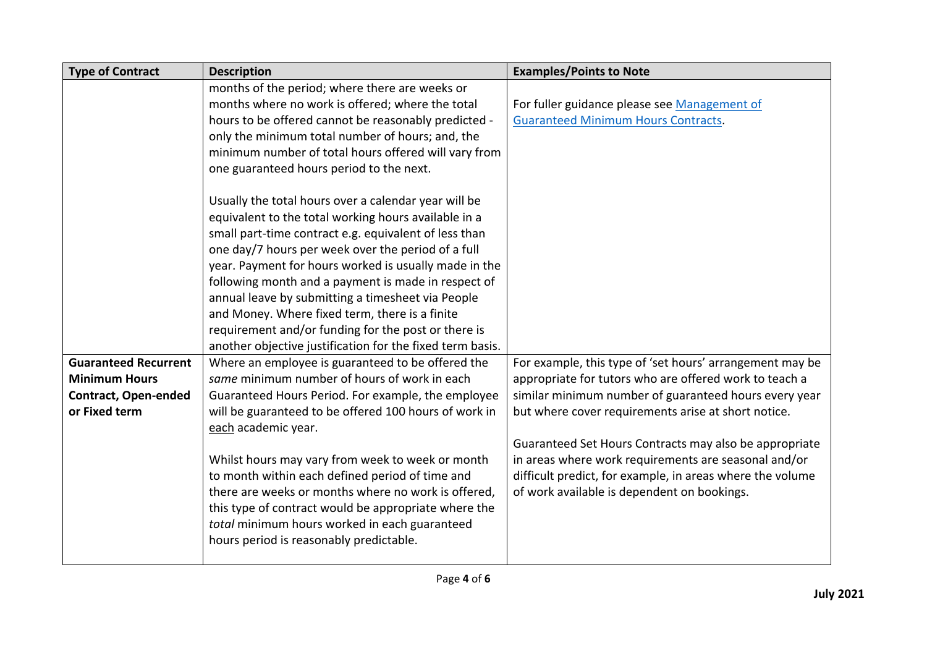| <b>Type of Contract</b>     | <b>Description</b>                                        | <b>Examples/Points to Note</b>                            |  |  |
|-----------------------------|-----------------------------------------------------------|-----------------------------------------------------------|--|--|
|                             | months of the period; where there are weeks or            |                                                           |  |  |
|                             | months where no work is offered; where the total          | For fuller guidance please see Management of              |  |  |
|                             | hours to be offered cannot be reasonably predicted -      | <b>Guaranteed Minimum Hours Contracts.</b>                |  |  |
|                             | only the minimum total number of hours; and, the          |                                                           |  |  |
|                             | minimum number of total hours offered will vary from      |                                                           |  |  |
|                             | one guaranteed hours period to the next.                  |                                                           |  |  |
|                             | Usually the total hours over a calendar year will be      |                                                           |  |  |
|                             | equivalent to the total working hours available in a      |                                                           |  |  |
|                             | small part-time contract e.g. equivalent of less than     |                                                           |  |  |
|                             | one day/7 hours per week over the period of a full        |                                                           |  |  |
|                             | year. Payment for hours worked is usually made in the     |                                                           |  |  |
|                             | following month and a payment is made in respect of       |                                                           |  |  |
|                             | annual leave by submitting a timesheet via People         |                                                           |  |  |
|                             | and Money. Where fixed term, there is a finite            |                                                           |  |  |
|                             | requirement and/or funding for the post or there is       |                                                           |  |  |
|                             | another objective justification for the fixed term basis. |                                                           |  |  |
| <b>Guaranteed Recurrent</b> | Where an employee is guaranteed to be offered the         | For example, this type of 'set hours' arrangement may be  |  |  |
| <b>Minimum Hours</b>        | same minimum number of hours of work in each              | appropriate for tutors who are offered work to teach a    |  |  |
| <b>Contract, Open-ended</b> | Guaranteed Hours Period. For example, the employee        | similar minimum number of guaranteed hours every year     |  |  |
| or Fixed term               | will be guaranteed to be offered 100 hours of work in     | but where cover requirements arise at short notice.       |  |  |
|                             | each academic year.                                       |                                                           |  |  |
|                             |                                                           | Guaranteed Set Hours Contracts may also be appropriate    |  |  |
|                             | Whilst hours may vary from week to week or month          | in areas where work requirements are seasonal and/or      |  |  |
|                             | to month within each defined period of time and           | difficult predict, for example, in areas where the volume |  |  |
|                             | there are weeks or months where no work is offered,       | of work available is dependent on bookings.               |  |  |
|                             | this type of contract would be appropriate where the      |                                                           |  |  |
|                             | total minimum hours worked in each guaranteed             |                                                           |  |  |
|                             | hours period is reasonably predictable.                   |                                                           |  |  |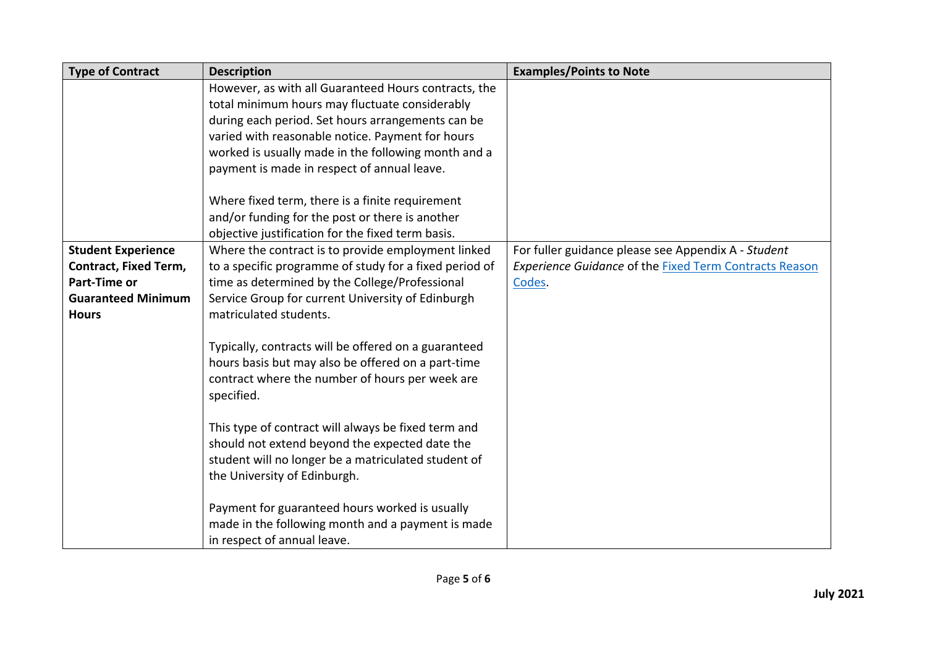| <b>Type of Contract</b>      | <b>Description</b>                                     | <b>Examples/Points to Note</b>                                |
|------------------------------|--------------------------------------------------------|---------------------------------------------------------------|
|                              | However, as with all Guaranteed Hours contracts, the   |                                                               |
|                              | total minimum hours may fluctuate considerably         |                                                               |
|                              | during each period. Set hours arrangements can be      |                                                               |
|                              | varied with reasonable notice. Payment for hours       |                                                               |
|                              | worked is usually made in the following month and a    |                                                               |
|                              | payment is made in respect of annual leave.            |                                                               |
|                              |                                                        |                                                               |
|                              | Where fixed term, there is a finite requirement        |                                                               |
|                              | and/or funding for the post or there is another        |                                                               |
|                              | objective justification for the fixed term basis.      |                                                               |
| <b>Student Experience</b>    | Where the contract is to provide employment linked     | For fuller guidance please see Appendix A - Student           |
| <b>Contract, Fixed Term,</b> | to a specific programme of study for a fixed period of | <b>Experience Guidance of the Fixed Term Contracts Reason</b> |
| <b>Part-Time or</b>          | time as determined by the College/Professional         | Codes.                                                        |
| <b>Guaranteed Minimum</b>    | Service Group for current University of Edinburgh      |                                                               |
| <b>Hours</b>                 | matriculated students.                                 |                                                               |
|                              |                                                        |                                                               |
|                              | Typically, contracts will be offered on a guaranteed   |                                                               |
|                              | hours basis but may also be offered on a part-time     |                                                               |
|                              | contract where the number of hours per week are        |                                                               |
|                              | specified.                                             |                                                               |
|                              |                                                        |                                                               |
|                              | This type of contract will always be fixed term and    |                                                               |
|                              | should not extend beyond the expected date the         |                                                               |
|                              | student will no longer be a matriculated student of    |                                                               |
|                              | the University of Edinburgh.                           |                                                               |
|                              | Payment for guaranteed hours worked is usually         |                                                               |
|                              | made in the following month and a payment is made      |                                                               |
|                              | in respect of annual leave.                            |                                                               |